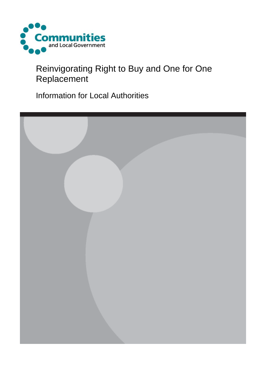

# Reinvigorating Right to Buy and One for One Replacement

Information for Local Authorities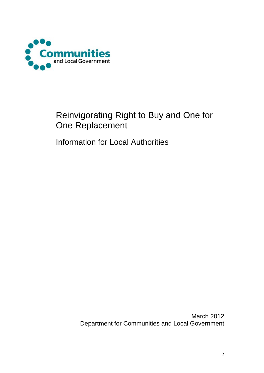

## Reinvigorating Right to Buy and One for One Replacement

Information for Local Authorities

March 2012 Department for Communities and Local Government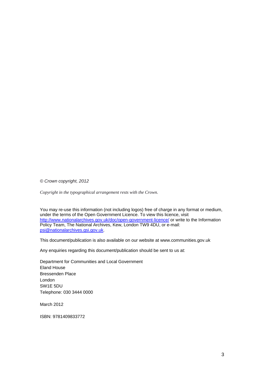*© Crown copyright, 2012* 

*Copyright in the typographical arrangement rests with the Crown.*

You may re-use this information (not including logos) free of charge in any format or medium, under the terms of the Open Government Licence. To view this licence, visit http://www.nationalarchives.gov.uk/doc/open-government-licence/ or write to the Information Policy Team, The National Archives, Kew, London TW9 4DU, or e-mail: psi@nationalarchives.gsi.gov.uk.

This document/publication is also available on our website at www.communities.gov.uk

Any enquiries regarding this document/publication should be sent to us at:

Department for Communities and Local Government Eland House Bressenden Place London SW1E 5DU Telephone: 030 3444 0000

March 2012

ISBN: 9781409833772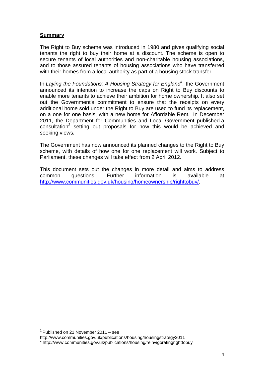#### **Summary**

The Right to Buy scheme was introduced in 1980 and gives qualifying social tenants the right to buy their home at a discount. The scheme is open to secure tenants of local authorities and non-charitable housing associations, and to those assured tenants of housing associations who have transferred with their homes from a local authority as part of a housing stock transfer.

In Laying the Foundations: A Housing Strategy for England<sup>1</sup>, the Government announced its intention to increase the caps on Right to Buy discounts to enable more tenants to achieve their ambition for home ownership. It also set out the Government's commitment to ensure that the receipts on every additional home sold under the Right to Buy are used to fund its replacement, on a one for one basis, with a new home for Affordable Rent. In December 2011, the Department for Communities and Local Government published a  $constant$  setting out proposals for how this would be achieved and seeking views**.**

The Government has now announced its planned changes to the Right to Buy scheme, with details of how one for one replacement will work. Subject to Parliament, these changes will take effect from 2 April 2012.

This document sets out the changes in more detail and aims to address common questions. Further information is available at http://www.communities.gov.uk/housing/homeownership/righttobuy/.

 $1$  Published on 21 November 2011 – see

http://www.communities.gov.uk/publications/housing/housingstrategy2011

<sup>2</sup> http://www.communities.gov.uk/publications/housing/reinvigoratingrighttobuy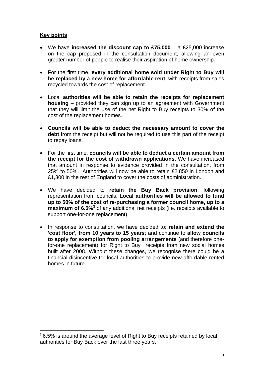#### **Key points**

- We have **increased the discount cap to £75,000** a £25,000 increase on the cap proposed in the consultation document, allowing an even greater number of people to realise their aspiration of home ownership.
- For the first time, **every additional home sold under Right to Buy will be replaced by a new home for affordable rent**, with receipts from sales recycled towards the cost of replacement.
- Local **authorities will be able to retain the receipts for replacement housing** – provided they can sign up to an agreement with Government that they will limit the use of the net Right to Buy receipts to 30% of the cost of the replacement homes.
- **Councils will be able to deduct the necessary amount to cover the debt** from the receipt but will not be required to use this part of the receipt to repay loans.
- For the first time, **councils will be able to deduct a certain amount from the receipt for the cost of withdrawn applications**. We have increased that amount in response to evidence provided in the consultation, from 25% to 50%. Authorities will now be able to retain £2,850 in London and £1,300 in the rest of England to cover the costs of administration.
- We have decided to **retain the Buy Back provision**, following representation from councils. **Local authorities will be allowed to fund up to 50% of the cost of re-purchasing a former council home, up to a**  maximum of 6.5%<sup>3</sup> of any additional net receipts (i.e. receipts available to support one-for-one replacement).
- In response to consultation, we have decided to: **retain and extend the 'cost floor', from 10 years to 15 years**; and continue to **allow councils to apply for exemption from pooling arrangements** (and therefore onefor-one replacement) for Right to Buy receipts from new social homes built after 2008. Without these changes, we recognise there could be a financial disincentive for local authorities to provide new affordable rented homes in future.

<sup>&</sup>lt;sup>3</sup> 6.5% is around the average level of Right to Buy receipts retained by local authorities for Buy Back over the last three years.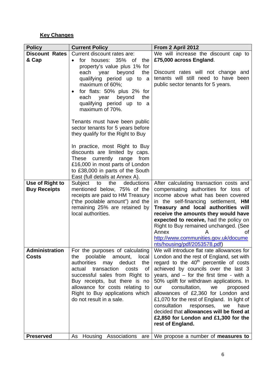## **Key Changes**

| <b>Policy</b>                          | <b>Current Policy</b>                                                              | From 2 April 2012                                                                          |  |
|----------------------------------------|------------------------------------------------------------------------------------|--------------------------------------------------------------------------------------------|--|
| <b>Discount Rates</b>                  | Current discount rates are:                                                        | We will increase the discount cap to                                                       |  |
| & Cap                                  | houses: 35% of<br>the<br>for<br>$\bullet$                                          | £75,000 across England.                                                                    |  |
|                                        | property's value plus 1% for                                                       |                                                                                            |  |
|                                        | each year<br>beyond<br>the                                                         | Discount rates will not change and                                                         |  |
|                                        | qualifying period up to a                                                          | tenants will still need to have been                                                       |  |
|                                        | maximum of 60%;                                                                    | public sector tenants for 5 years.                                                         |  |
|                                        | for flats: 50% plus 2% for<br>$\bullet$                                            |                                                                                            |  |
|                                        | each<br>year<br>beyond<br>the                                                      |                                                                                            |  |
|                                        | qualifying period up to a<br>maximum of 70%.                                       |                                                                                            |  |
|                                        |                                                                                    |                                                                                            |  |
|                                        | Tenants must have been public                                                      |                                                                                            |  |
|                                        | sector tenants for 5 years before                                                  |                                                                                            |  |
|                                        | they qualify for the Right to Buy                                                  |                                                                                            |  |
|                                        |                                                                                    |                                                                                            |  |
|                                        | In practice, most Right to Buy                                                     |                                                                                            |  |
|                                        | discounts are limited by caps.                                                     |                                                                                            |  |
|                                        | These currently range from                                                         |                                                                                            |  |
|                                        | £16,000 in most parts of London                                                    |                                                                                            |  |
|                                        | to £38,000 in parts of the South                                                   |                                                                                            |  |
|                                        | East (full details at Annex A).                                                    |                                                                                            |  |
| Use of Right to<br><b>Buy Receipts</b> | deductions<br>Subject to<br>the<br>mentioned below, 75% of the                     | After calculating transaction costs and<br>compensating authorities for loss of            |  |
|                                        | receipts are paid to HM Treasury                                                   | income above what has been covered                                                         |  |
|                                        | ("the poolable amount") and the                                                    | in the self-financing settlement, HM                                                       |  |
|                                        | remaining 25% are retained by                                                      | Treasury and local authorities will                                                        |  |
|                                        | local authorities.                                                                 | receive the amounts they would have                                                        |  |
|                                        |                                                                                    | expected to receive, had the policy on                                                     |  |
|                                        |                                                                                    | Right to Buy remained unchanged. (See                                                      |  |
|                                        |                                                                                    | Annex<br>Ωf                                                                                |  |
|                                        |                                                                                    | http://www.communities.gov.uk/docume                                                       |  |
|                                        |                                                                                    | nts/housing/pdf/2053578.pdf)                                                               |  |
| <b>Administration</b>                  | For the purposes of calculating                                                    | We will introduce flat rate allowances for                                                 |  |
| <b>Costs</b>                           | poolable<br>amount,<br>local<br>the                                                | London and the rest of England, set with                                                   |  |
|                                        | authorities<br>deduct<br>the<br>may<br>transaction<br><b>of</b><br>actual<br>costs | regard to the 40 <sup>th</sup> percentile of costs<br>achieved by councils over the last 3 |  |
|                                        | successful sales from Right to                                                     | years, and $-$ for the first time - with a                                                 |  |
|                                        | Buy receipts, but there is no                                                      | 50% uplift for withdrawn applications. In                                                  |  |
|                                        | allowance for costs relating to                                                    | consultation,<br>our<br>we<br>proposed                                                     |  |
|                                        | Right to Buy applications which                                                    | allowances of £2,360 for London and                                                        |  |
|                                        | do not result in a sale.                                                           | £1,070 for the rest of England. In light of                                                |  |
|                                        |                                                                                    | consultation<br>responses,<br>we<br>have                                                   |  |
|                                        |                                                                                    | decided that allowances will be fixed at                                                   |  |
|                                        |                                                                                    | £2,850 for London and £1,300 for the                                                       |  |
|                                        |                                                                                    | rest of England.                                                                           |  |
|                                        |                                                                                    |                                                                                            |  |
| <b>Preserved</b>                       | Housing Associations<br>As<br>are                                                  | We propose a number of <b>measures to</b>                                                  |  |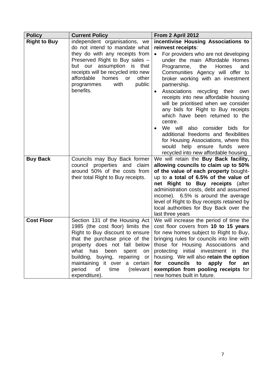| <b>Policy</b>       | <b>Current Policy</b>                                                                                                                                                                                                                                                                                                                             | From 2 April 2012                                                                                                                                                                                                                                                                                                                                                                                                                                                                                                                                                                                                                                                                 |
|---------------------|---------------------------------------------------------------------------------------------------------------------------------------------------------------------------------------------------------------------------------------------------------------------------------------------------------------------------------------------------|-----------------------------------------------------------------------------------------------------------------------------------------------------------------------------------------------------------------------------------------------------------------------------------------------------------------------------------------------------------------------------------------------------------------------------------------------------------------------------------------------------------------------------------------------------------------------------------------------------------------------------------------------------------------------------------|
| <b>Right to Buy</b> | independent organisations, we<br>do not intend to mandate what<br>they do with any receipts from<br>Preserved Right to Buy sales -<br>but our assumption is that<br>receipts will be recycled into new<br>affordable<br>homes<br>other<br>or<br>public<br>with<br>programmes<br>benefits.                                                         | incentivise Housing Associations to<br>reinvest receipts:<br>For providers who are not developing<br>under the main Affordable Homes<br>Homes<br>the<br>and<br>Programme,<br>Communities Agency will offer to<br>broker working with an investment<br>partnership.<br>Associations<br>recycling their<br>own<br>receipts into new affordable housing<br>will be prioritised when we consider<br>any bids for Right to Buy receipts<br>which have been returned to the<br>centre.<br>We will<br>also consider bids for<br>additional freedoms and flexibilities<br>for Housing Associations, where this<br>would<br>help ensure funds were<br>recycled into new affordable housing |
| <b>Buy Back</b>     | Councils may Buy Back former<br>council<br>properties and claim<br>around 50% of the costs from<br>their total Right to Buy receipts.                                                                                                                                                                                                             | We will retain the Buy Back facility,<br>allowing councils to claim up to 50%<br>of the value of each property bought-<br>up to a total of 6.5% of the value of<br>net Right to Buy receipts (after<br>administration costs, debt and assumed<br>income). 6.5% is around the average<br>level of Right to Buy receipts retained by<br>local authorities for Buy Back over the<br>last three years                                                                                                                                                                                                                                                                                 |
| <b>Cost Floor</b>   | Section 131 of the Housing Act<br>1985 (the cost floor) limits the<br>Right to Buy discount to ensure<br>that the purchase price of the<br>property does not fall below<br>what<br>has<br>been<br>spent<br>on<br>building, buying, repairing<br>or<br>maintaining it over a certain<br>time<br>period<br>$\circ$ of<br>(relevant<br>expenditure). | We will increase the period of time the<br>cost floor covers from 10 to 15 years<br>for new homes subject to Right to Buy,<br>bringing rules for councils into line with<br>those for Housing Associations and<br>protecting initial investment in<br>the<br>housing. We will also retain the option<br>for<br>councils<br>to<br>apply<br>for<br>an<br>exemption from pooling receipts for<br>new homes built in future.                                                                                                                                                                                                                                                          |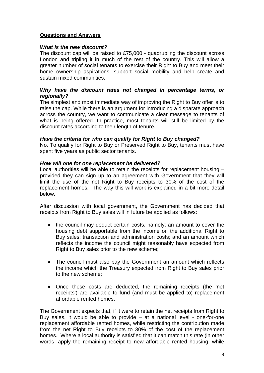#### **Questions and Answers**

#### *What is the new discount?*

The discount cap will be raised to £75,000 - quadrupling the discount across London and tripling it in much of the rest of the country. This will allow a greater number of social tenants to exercise their Right to Buy and meet their home ownership aspirations, support social mobility and help create and sustain mixed communities.

#### *Why have the discount rates not changed in percentage terms, or regionally?*

The simplest and most immediate way of improving the Right to Buy offer is to raise the cap. While there is an argument for introducing a disparate approach across the country, we want to communicate a clear message to tenants of what is being offered. In practice, most tenants will still be limited by the discount rates according to their length of tenure.

#### *Have the criteria for who can qualify for Right to Buy changed?*

No. To qualify for Right to Buy or Preserved Right to Buy, tenants must have spent five years as public sector tenants.

#### *How will one for one replacement be delivered?*

Local authorities will be able to retain the receipts for replacement housing – provided they can sign up to an agreement with Government that they will limit the use of the net Right to Buy receipts to 30% of the cost of the replacement homes. The way this will work is explained in a bit more detail below.

After discussion with local government, the Government has decided that receipts from Right to Buy sales will in future be applied as follows:

- the council may deduct certain costs, namely: an amount to cover the housing debt supportable from the income on the additional Right to Buy sales; transaction and administration costs; and an amount which reflects the income the council might reasonably have expected from Right to Buy sales prior to the new scheme;
- The council must also pay the Government an amount which reflects the income which the Treasury expected from Right to Buy sales prior to the new scheme;
- Once these costs are deducted, the remaining receipts (the 'net receipts') are available to fund (and must be applied to) replacement affordable rented homes.

The Government expects that, if it were to retain the net receipts from Right to Buy sales, it would be able to provide – at a national level - one-for-one replacement affordable rented homes, while restricting the contribution made from the net Right to Buy receipts to 30% of the cost of the replacement homes. Where a local authority is satisfied that it can match this rate (in other words, apply the remaining receipt to new affordable rented housing, while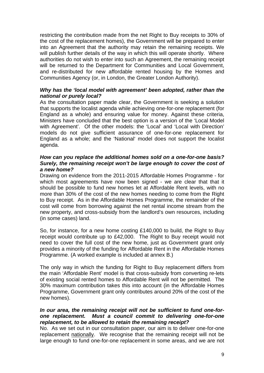restricting the contribution made from the net Right to Buy receipts to 30% of the cost of the replacement homes), the Government will be prepared to enter into an Agreement that the authority may retain the remaining receipts. We will publish further details of the way in which this will operate shortly. Where authorities do not wish to enter into such an Agreement, the remaining receipt will be returned to the Department for Communities and Local Government, and re-distributed for new affordable rented housing by the Homes and Communities Agency (or, in London, the Greater London Authority).

#### *Why has the 'local model with agreement' been adopted, rather than the national or purely local?*

As the consultation paper made clear, the Government is seeking a solution that supports the localist agenda while achieving one-for-one replacement (for England as a whole) and ensuring value for money. Against these criteria, Ministers have concluded that the best option is a version of the 'Local Model with Agreement'. Of the other models: the 'Local' and 'Local with Direction' models do not give sufficient assurance of one-for-one replacement for England as a whole; and the 'National' model does not support the localist agenda.

#### *How can you replace the additional homes sold on a one-for-one basis? Surely, the remaining receipt won't be large enough to cover the cost of a new home?*

Drawing on evidence from the 2011-2015 Affordable Homes Programme - for which most agreements have now been signed - we are clear that that it should be possible to fund new homes let at Affordable Rent levels, with no more than 30% of the cost of the new homes needing to come from the Right to Buy receipt. As in the Affordable Homes Programme, the remainder of the cost will come from borrowing against the net rental income stream from the new property, and cross-subsidy from the landlord's own resources, including (in some cases) land.

So, for instance, for a new home costing £140,000 to build, the Right to Buy receipt would contribute up to £42,000. The Right to Buy receipt would not need to cover the full cost of the new home, just as Government grant only provides a minority of the funding for Affordable Rent in the Affordable Homes Programme. (A worked example is included at annex B.)

The only way in which the funding for Right to Buy replacement differs from the main 'Affordable Rent' model is that cross-subsidy from converting re-lets of existing social rented homes to Affordable Rent will not be permitted. The 30% maximum contribution takes this into account (in the Affordable Homes Programme, Government grant only contributes around 20% of the cost of the new homes).

#### *In our area, the remaining receipt will not be sufficient to fund one-forone replacement. Must a council commit to delivering one-for-one replacement, to be allowed to retain the remaining receipt?*

No. As we set out in our consultation paper, our aim is to deliver one-for-one replacement nationally. We recognise that the remaining receipt will not be large enough to fund one-for-one replacement in some areas, and we are not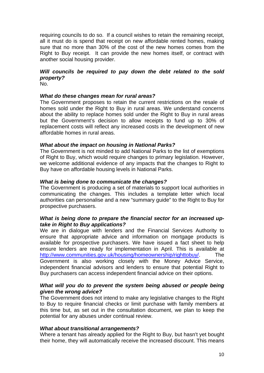requiring councils to do so. If a council wishes to retain the remaining receipt, all it must do is spend that receipt on new affordable rented homes, making sure that no more than 30% of the cost of the new homes comes from the Right to Buy receipt. It can provide the new homes itself, or contract with another social housing provider.

### *Will councils be required to pay down the debt related to the sold property?*

No.

#### *What do these changes mean for rural areas?*

The Government proposes to retain the current restrictions on the resale of homes sold under the Right to Buy in rural areas. We understand concerns about the ability to replace homes sold under the Right to Buy in rural areas but the Government's decision to allow receipts to fund up to 30% of replacement costs will reflect any increased costs in the development of new affordable homes in rural areas.

#### *What about the impact on housing in National Parks?*

The Government is not minded to add National Parks to the list of exemptions of Right to Buy, which would require changes to primary legislation. However, we welcome additional evidence of any impacts that the changes to Right to Buy have on affordable housing levels in National Parks.

#### *What is being done to communicate the changes?*

The Government is producing a set of materials to support local authorities in communicating the changes. This includes a template letter which local authorities can personalise and a new "summary guide" to the Right to Buy for prospective purchasers.

#### *What is being done to prepare the financial sector for an increased uptake in Right to Buy applications?*

We are in dialogue with lenders and the Financial Services Authority to ensure that appropriate advice and information on mortgage products is available for prospective purchasers. We have issued a fact sheet to help ensure lenders are ready for implementation in April. This is available at http://www.communities.gov.uk/housing/homeownership/righttobuy/. The Government is also working closely with the Money Advice Service, independent financial advisors and lenders to ensure that potential Right to Buy purchasers can access independent financial advice on their options.

#### What will you do to prevent the system being abused or people being *given the wrong advice?*

The Government does not intend to make any legislative changes to the Right to Buy to require financial checks or limit purchase with family members at this time but, as set out in the consultation document, we plan to keep the potential for any abuses under continual review.

#### *What about transitional arrangements?*

Where a tenant has already applied for the Right to Buy, but hasn't yet bought their home, they will automatically receive the increased discount. This means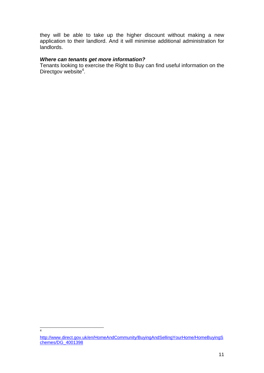they will be able to take up the higher discount without making a new application to their landlord. And it will minimise additional administration for landlords.

#### *Where can tenants get more information?*

Tenants looking to exercise the Right to Buy can find useful information on the Directgov website<sup>4</sup>.

http://www.direct.gov.uk/en/HomeAndCommunity/BuyingAndSellingYourHome/HomeBuyingS chemes/DG\_4001398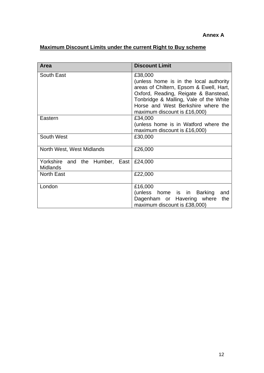### **Maximum Discount Limits under the current Right to Buy scheme**

| Area                                              | <b>Discount Limit</b>                                                                                                                                                                                                                                |  |  |
|---------------------------------------------------|------------------------------------------------------------------------------------------------------------------------------------------------------------------------------------------------------------------------------------------------------|--|--|
| South East                                        | £38,000<br>(unless home is in the local authority<br>areas of Chiltern, Epsom & Ewell, Hart,<br>Oxford, Reading, Reigate & Banstead,<br>Tonbridge & Malling, Vale of the White<br>Horse and West Berkshire where the<br>maximum discount is £16,000) |  |  |
| Eastern                                           | £34,000<br>(unless home is in Watford where the<br>maximum discount is £16,000)                                                                                                                                                                      |  |  |
| South West                                        | £30,000                                                                                                                                                                                                                                              |  |  |
| North West, West Midlands                         | £26,000                                                                                                                                                                                                                                              |  |  |
| Yorkshire and the Humber, East<br><b>Midlands</b> | £24,000                                                                                                                                                                                                                                              |  |  |
| <b>North East</b>                                 | £22,000                                                                                                                                                                                                                                              |  |  |
| London                                            | £16,000<br>(unless home is in Barking<br>and<br>Dagenham or Havering where<br>the<br>maximum discount is £38,000)                                                                                                                                    |  |  |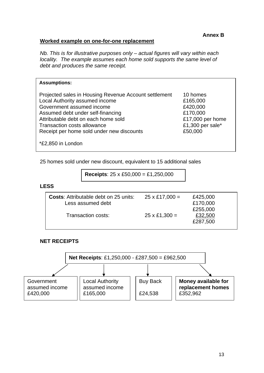#### **Worked example on one-for-one replacement**

*Nb. This is for illustrative purposes only – actual figures will vary within each locality. The example assumes each home sold supports the same level of debt and produces the same receipt.* 

#### **Assumptions:**

| Projected sales in Housing Revenue Account settlement | 10 homes         |
|-------------------------------------------------------|------------------|
| Local Authority assumed income                        | £165,000         |
| Government assumed income                             | £420,000         |
| Assumed debt under self-financing                     | £170,000         |
| Attributable debt on each home sold                   | £17,000 per home |
| <b>Transaction costs allowance</b>                    | £1,300 per sale* |
| Receipt per home sold under new discounts             | £50,000          |
|                                                       |                  |

\*£2,850 in London

25 homes sold under new discount, equivalent to 15 additional sales

**Receipts**: 25 x £50,000 = £1,250,000

**LESS** 

| <b>Costs:</b> Attributable debt on 25 units: | $25 \times £17,000 =$ | £425,000 |
|----------------------------------------------|-----------------------|----------|
| Less assumed debt                            |                       | £170,000 |
|                                              |                       | £255,000 |
| Transaction costs:                           | $25 \times £1,300 =$  | £32,500  |
|                                              |                       | £287,500 |
|                                              |                       |          |

#### **NET RECEIPTS**